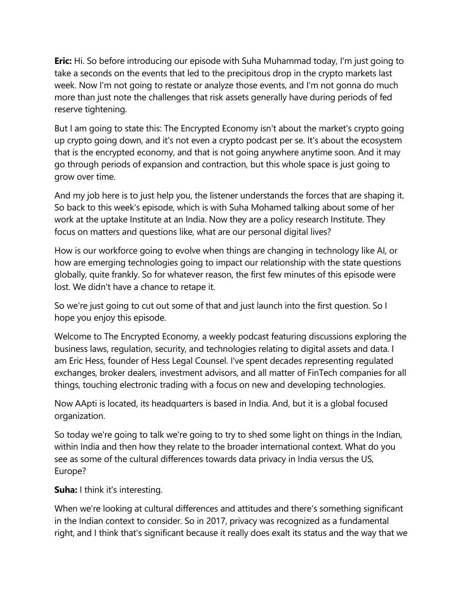**Eric:** Hi. So before introducing our episode with Suha Muhammad today, I'm just going to take a seconds on the events that led to the precipitous drop in the crypto markets last week. Now I'm not going to restate or analyze those events, and I'm not gonna do much more than just note the challenges that risk assets generally have during periods of fed reserve tightening.

But I am going to state this: The Encrypted Economy isn't about the market's crypto going up crypto going down, and it's not even a crypto podcast per se. It's about the ecosystem that is the encrypted economy, and that is not going anywhere anytime soon. And it may go through periods of expansion and contraction, but this whole space is just going to grow over time.

And my job here is to just help you, the listener understands the forces that are shaping it. So back to this week's episode, which is with Suha Mohamed talking about some of her work at the uptake Institute at an India. Now they are a policy research Institute. They focus on matters and questions like, what are our personal digital lives?

How is our workforce going to evolve when things are changing in technology like AI, or how are emerging technologies going to impact our relationship with the state questions globally, quite frankly. So for whatever reason, the first few minutes of this episode were lost. We didn't have a chance to retape it.

So we're just going to cut out some of that and just launch into the first question. So I hope you enjoy this episode.

Welcome to The Encrypted Economy, a weekly podcast featuring discussions exploring the business laws, regulation, security, and technologies relating to digital assets and data. I am Eric Hess, founder of Hess Legal Counsel. I've spent decades representing regulated exchanges, broker dealers, investment advisors, and all matter of FinTech companies for all things, touching electronic trading with a focus on new and developing technologies.

Now AApti is located, its headquarters is based in India. And, but it is a global focused organization.

So today we're going to talk we're going to try to shed some light on things in the Indian, within India and then how they relate to the broader international context. What do you see as some of the cultural differences towards data privacy in India versus the US, Europe?

**Suha:** I think it's interesting.

When we're looking at cultural differences and attitudes and there's something significant in the Indian context to consider. So in 2017, privacy was recognized as a fundamental right, and I think that's significant because it really does exalt its status and the way that we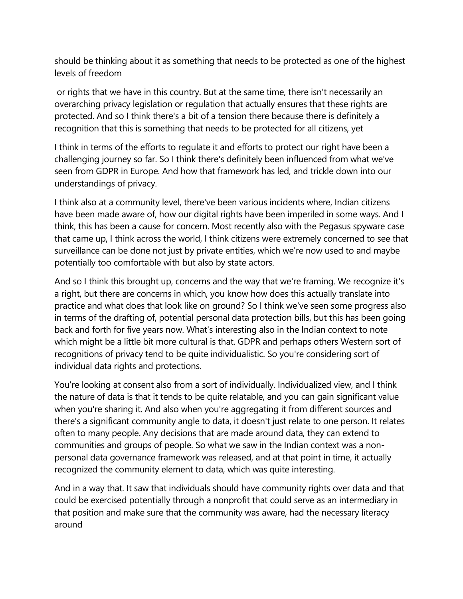should be thinking about it as something that needs to be protected as one of the highest levels of freedom

or rights that we have in this country. But at the same time, there isn't necessarily an overarching privacy legislation or regulation that actually ensures that these rights are protected. And so I think there's a bit of a tension there because there is definitely a recognition that this is something that needs to be protected for all citizens, yet

I think in terms of the efforts to regulate it and efforts to protect our right have been a challenging journey so far. So I think there's definitely been influenced from what we've seen from GDPR in Europe. And how that framework has led, and trickle down into our understandings of privacy.

I think also at a community level, there've been various incidents where, Indian citizens have been made aware of, how our digital rights have been imperiled in some ways. And I think, this has been a cause for concern. Most recently also with the Pegasus spyware case that came up, I think across the world, I think citizens were extremely concerned to see that surveillance can be done not just by private entities, which we're now used to and maybe potentially too comfortable with but also by state actors.

And so I think this brought up, concerns and the way that we're framing. We recognize it's a right, but there are concerns in which, you know how does this actually translate into practice and what does that look like on ground? So I think we've seen some progress also in terms of the drafting of, potential personal data protection bills, but this has been going back and forth for five years now. What's interesting also in the Indian context to note which might be a little bit more cultural is that. GDPR and perhaps others Western sort of recognitions of privacy tend to be quite individualistic. So you're considering sort of individual data rights and protections.

You're looking at consent also from a sort of individually. Individualized view, and I think the nature of data is that it tends to be quite relatable, and you can gain significant value when you're sharing it. And also when you're aggregating it from different sources and there's a significant community angle to data, it doesn't just relate to one person. It relates often to many people. Any decisions that are made around data, they can extend to communities and groups of people. So what we saw in the Indian context was a nonpersonal data governance framework was released, and at that point in time, it actually recognized the community element to data, which was quite interesting.

And in a way that. It saw that individuals should have community rights over data and that could be exercised potentially through a nonprofit that could serve as an intermediary in that position and make sure that the community was aware, had the necessary literacy around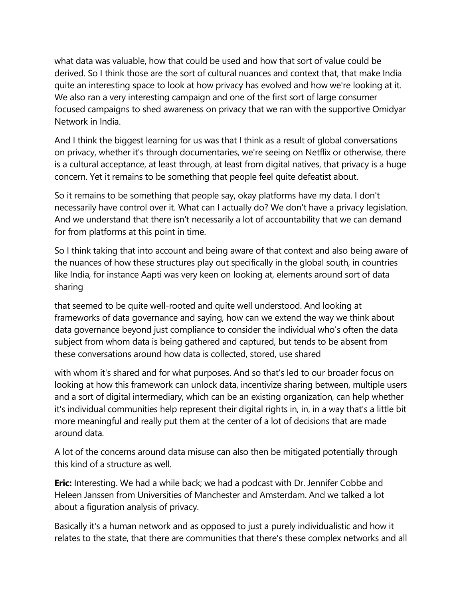what data was valuable, how that could be used and how that sort of value could be derived. So I think those are the sort of cultural nuances and context that, that make India quite an interesting space to look at how privacy has evolved and how we're looking at it. We also ran a very interesting campaign and one of the first sort of large consumer focused campaigns to shed awareness on privacy that we ran with the supportive Omidyar Network in India.

And I think the biggest learning for us was that I think as a result of global conversations on privacy, whether it's through documentaries, we're seeing on Netflix or otherwise, there is a cultural acceptance, at least through, at least from digital natives, that privacy is a huge concern. Yet it remains to be something that people feel quite defeatist about.

So it remains to be something that people say, okay platforms have my data. I don't necessarily have control over it. What can I actually do? We don't have a privacy legislation. And we understand that there isn't necessarily a lot of accountability that we can demand for from platforms at this point in time.

So I think taking that into account and being aware of that context and also being aware of the nuances of how these structures play out specifically in the global south, in countries like India, for instance Aapti was very keen on looking at, elements around sort of data sharing

that seemed to be quite well-rooted and quite well understood. And looking at frameworks of data governance and saying, how can we extend the way we think about data governance beyond just compliance to consider the individual who's often the data subject from whom data is being gathered and captured, but tends to be absent from these conversations around how data is collected, stored, use shared

with whom it's shared and for what purposes. And so that's led to our broader focus on looking at how this framework can unlock data, incentivize sharing between, multiple users and a sort of digital intermediary, which can be an existing organization, can help whether it's individual communities help represent their digital rights in, in, in a way that's a little bit more meaningful and really put them at the center of a lot of decisions that are made around data.

A lot of the concerns around data misuse can also then be mitigated potentially through this kind of a structure as well.

**Eric:** Interesting. We had a while back; we had a podcast with Dr. Jennifer Cobbe and Heleen Janssen from Universities of Manchester and Amsterdam. And we talked a lot about a figuration analysis of privacy.

Basically it's a human network and as opposed to just a purely individualistic and how it relates to the state, that there are communities that there's these complex networks and all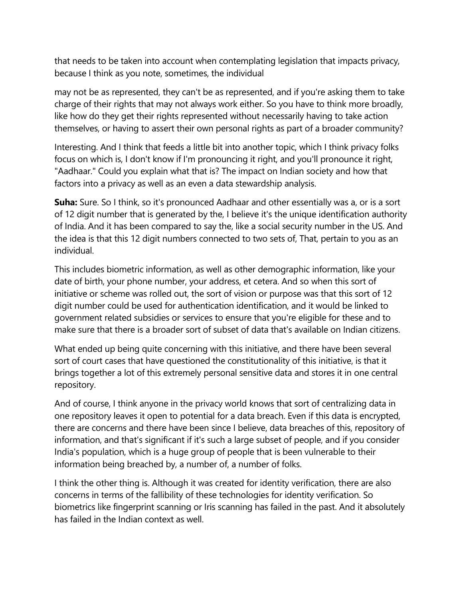that needs to be taken into account when contemplating legislation that impacts privacy, because I think as you note, sometimes, the individual

may not be as represented, they can't be as represented, and if you're asking them to take charge of their rights that may not always work either. So you have to think more broadly, like how do they get their rights represented without necessarily having to take action themselves, or having to assert their own personal rights as part of a broader community?

Interesting. And I think that feeds a little bit into another topic, which I think privacy folks focus on which is, I don't know if I'm pronouncing it right, and you'll pronounce it right, "Aadhaar." Could you explain what that is? The impact on Indian society and how that factors into a privacy as well as an even a data stewardship analysis.

**Suha:** Sure. So I think, so it's pronounced Aadhaar and other essentially was a, or is a sort of 12 digit number that is generated by the, I believe it's the unique identification authority of India. And it has been compared to say the, like a social security number in the US. And the idea is that this 12 digit numbers connected to two sets of, That, pertain to you as an individual.

This includes biometric information, as well as other demographic information, like your date of birth, your phone number, your address, et cetera. And so when this sort of initiative or scheme was rolled out, the sort of vision or purpose was that this sort of 12 digit number could be used for authentication identification, and it would be linked to government related subsidies or services to ensure that you're eligible for these and to make sure that there is a broader sort of subset of data that's available on Indian citizens.

What ended up being quite concerning with this initiative, and there have been several sort of court cases that have questioned the constitutionality of this initiative, is that it brings together a lot of this extremely personal sensitive data and stores it in one central repository.

And of course, I think anyone in the privacy world knows that sort of centralizing data in one repository leaves it open to potential for a data breach. Even if this data is encrypted, there are concerns and there have been since I believe, data breaches of this, repository of information, and that's significant if it's such a large subset of people, and if you consider India's population, which is a huge group of people that is been vulnerable to their information being breached by, a number of, a number of folks.

I think the other thing is. Although it was created for identity verification, there are also concerns in terms of the fallibility of these technologies for identity verification. So biometrics like fingerprint scanning or Iris scanning has failed in the past. And it absolutely has failed in the Indian context as well.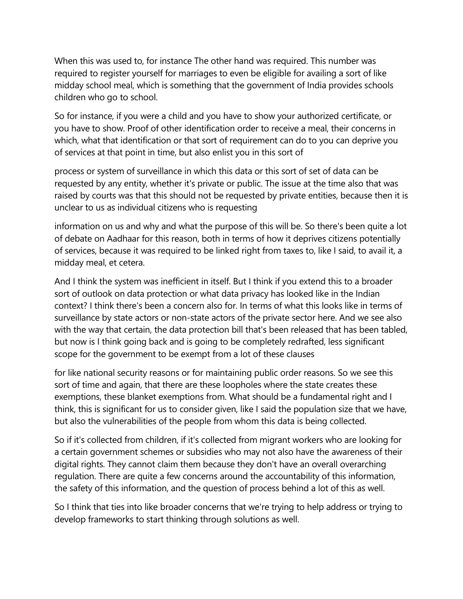When this was used to, for instance The other hand was required. This number was required to register yourself for marriages to even be eligible for availing a sort of like midday school meal, which is something that the government of India provides schools children who go to school.

So for instance, if you were a child and you have to show your authorized certificate, or you have to show. Proof of other identification order to receive a meal, their concerns in which, what that identification or that sort of requirement can do to you can deprive you of services at that point in time, but also enlist you in this sort of

process or system of surveillance in which this data or this sort of set of data can be requested by any entity, whether it's private or public. The issue at the time also that was raised by courts was that this should not be requested by private entities, because then it is unclear to us as individual citizens who is requesting

information on us and why and what the purpose of this will be. So there's been quite a lot of debate on Aadhaar for this reason, both in terms of how it deprives citizens potentially of services, because it was required to be linked right from taxes to, like I said, to avail it, a midday meal, et cetera.

And I think the system was inefficient in itself. But I think if you extend this to a broader sort of outlook on data protection or what data privacy has looked like in the Indian context? I think there's been a concern also for. In terms of what this looks like in terms of surveillance by state actors or non-state actors of the private sector here. And we see also with the way that certain, the data protection bill that's been released that has been tabled, but now is I think going back and is going to be completely redrafted, less significant scope for the government to be exempt from a lot of these clauses

for like national security reasons or for maintaining public order reasons. So we see this sort of time and again, that there are these loopholes where the state creates these exemptions, these blanket exemptions from. What should be a fundamental right and I think, this is significant for us to consider given, like I said the population size that we have, but also the vulnerabilities of the people from whom this data is being collected.

So if it's collected from children, if it's collected from migrant workers who are looking for a certain government schemes or subsidies who may not also have the awareness of their digital rights. They cannot claim them because they don't have an overall overarching regulation. There are quite a few concerns around the accountability of this information, the safety of this information, and the question of process behind a lot of this as well.

So I think that ties into like broader concerns that we're trying to help address or trying to develop frameworks to start thinking through solutions as well.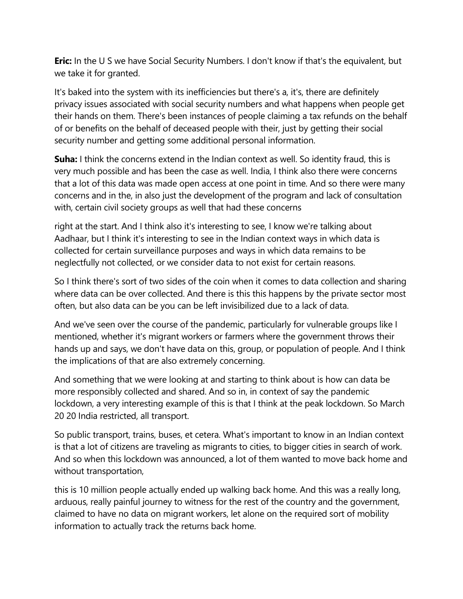**Eric:** In the U S we have Social Security Numbers. I don't know if that's the equivalent, but we take it for granted.

It's baked into the system with its inefficiencies but there's a, it's, there are definitely privacy issues associated with social security numbers and what happens when people get their hands on them. There's been instances of people claiming a tax refunds on the behalf of or benefits on the behalf of deceased people with their, just by getting their social security number and getting some additional personal information.

**Suha:** I think the concerns extend in the Indian context as well. So identity fraud, this is very much possible and has been the case as well. India, I think also there were concerns that a lot of this data was made open access at one point in time. And so there were many concerns and in the, in also just the development of the program and lack of consultation with, certain civil society groups as well that had these concerns

right at the start. And I think also it's interesting to see, I know we're talking about Aadhaar, but I think it's interesting to see in the Indian context ways in which data is collected for certain surveillance purposes and ways in which data remains to be neglectfully not collected, or we consider data to not exist for certain reasons.

So I think there's sort of two sides of the coin when it comes to data collection and sharing where data can be over collected. And there is this this happens by the private sector most often, but also data can be you can be left invisibilized due to a lack of data.

And we've seen over the course of the pandemic, particularly for vulnerable groups like I mentioned, whether it's migrant workers or farmers where the government throws their hands up and says, we don't have data on this, group, or population of people. And I think the implications of that are also extremely concerning.

And something that we were looking at and starting to think about is how can data be more responsibly collected and shared. And so in, in context of say the pandemic lockdown, a very interesting example of this is that I think at the peak lockdown. So March 20 20 India restricted, all transport.

So public transport, trains, buses, et cetera. What's important to know in an Indian context is that a lot of citizens are traveling as migrants to cities, to bigger cities in search of work. And so when this lockdown was announced, a lot of them wanted to move back home and without transportation,

this is 10 million people actually ended up walking back home. And this was a really long, arduous, really painful journey to witness for the rest of the country and the government, claimed to have no data on migrant workers, let alone on the required sort of mobility information to actually track the returns back home.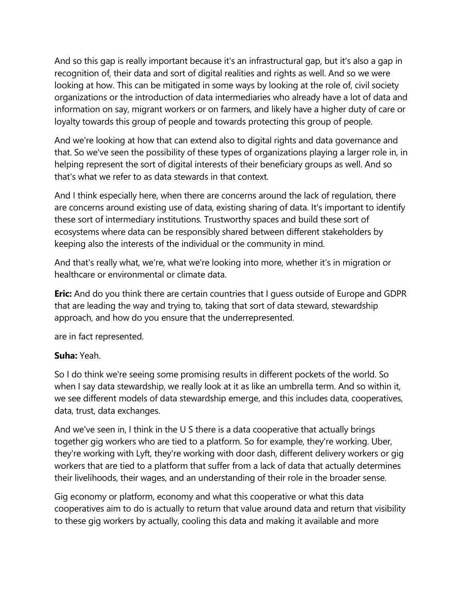And so this gap is really important because it's an infrastructural gap, but it's also a gap in recognition of, their data and sort of digital realities and rights as well. And so we were looking at how. This can be mitigated in some ways by looking at the role of, civil society organizations or the introduction of data intermediaries who already have a lot of data and information on say, migrant workers or on farmers, and likely have a higher duty of care or loyalty towards this group of people and towards protecting this group of people.

And we're looking at how that can extend also to digital rights and data governance and that. So we've seen the possibility of these types of organizations playing a larger role in, in helping represent the sort of digital interests of their beneficiary groups as well. And so that's what we refer to as data stewards in that context.

And I think especially here, when there are concerns around the lack of regulation, there are concerns around existing use of data, existing sharing of data. It's important to identify these sort of intermediary institutions. Trustworthy spaces and build these sort of ecosystems where data can be responsibly shared between different stakeholders by keeping also the interests of the individual or the community in mind.

And that's really what, we're, what we're looking into more, whether it's in migration or healthcare or environmental or climate data.

**Eric:** And do you think there are certain countries that I guess outside of Europe and GDPR that are leading the way and trying to, taking that sort of data steward, stewardship approach, and how do you ensure that the underrepresented.

are in fact represented.

## **Suha:** Yeah.

So I do think we're seeing some promising results in different pockets of the world. So when I say data stewardship, we really look at it as like an umbrella term. And so within it, we see different models of data stewardship emerge, and this includes data, cooperatives, data, trust, data exchanges.

And we've seen in, I think in the U S there is a data cooperative that actually brings together gig workers who are tied to a platform. So for example, they're working. Uber, they're working with Lyft, they're working with door dash, different delivery workers or gig workers that are tied to a platform that suffer from a lack of data that actually determines their livelihoods, their wages, and an understanding of their role in the broader sense.

Gig economy or platform, economy and what this cooperative or what this data cooperatives aim to do is actually to return that value around data and return that visibility to these gig workers by actually, cooling this data and making it available and more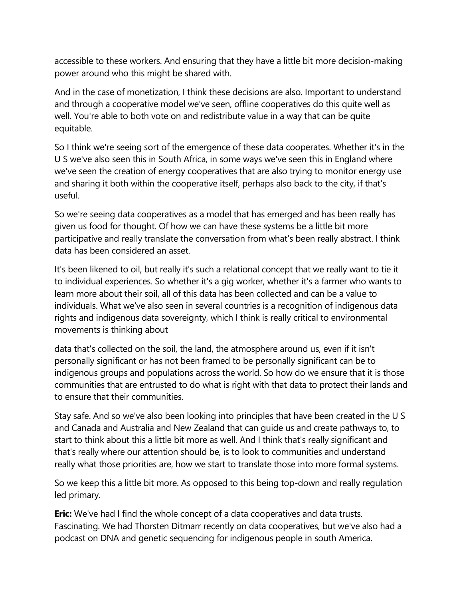accessible to these workers. And ensuring that they have a little bit more decision-making power around who this might be shared with.

And in the case of monetization, I think these decisions are also. Important to understand and through a cooperative model we've seen, offline cooperatives do this quite well as well. You're able to both vote on and redistribute value in a way that can be quite equitable.

So I think we're seeing sort of the emergence of these data cooperates. Whether it's in the U S we've also seen this in South Africa, in some ways we've seen this in England where we've seen the creation of energy cooperatives that are also trying to monitor energy use and sharing it both within the cooperative itself, perhaps also back to the city, if that's useful.

So we're seeing data cooperatives as a model that has emerged and has been really has given us food for thought. Of how we can have these systems be a little bit more participative and really translate the conversation from what's been really abstract. I think data has been considered an asset.

It's been likened to oil, but really it's such a relational concept that we really want to tie it to individual experiences. So whether it's a gig worker, whether it's a farmer who wants to learn more about their soil, all of this data has been collected and can be a value to individuals. What we've also seen in several countries is a recognition of indigenous data rights and indigenous data sovereignty, which I think is really critical to environmental movements is thinking about

data that's collected on the soil, the land, the atmosphere around us, even if it isn't personally significant or has not been framed to be personally significant can be to indigenous groups and populations across the world. So how do we ensure that it is those communities that are entrusted to do what is right with that data to protect their lands and to ensure that their communities.

Stay safe. And so we've also been looking into principles that have been created in the U S and Canada and Australia and New Zealand that can guide us and create pathways to, to start to think about this a little bit more as well. And I think that's really significant and that's really where our attention should be, is to look to communities and understand really what those priorities are, how we start to translate those into more formal systems.

So we keep this a little bit more. As opposed to this being top-down and really regulation led primary.

**Eric:** We've had I find the whole concept of a data cooperatives and data trusts. Fascinating. We had Thorsten Ditmarr recently on data cooperatives, but we've also had a podcast on DNA and genetic sequencing for indigenous people in south America.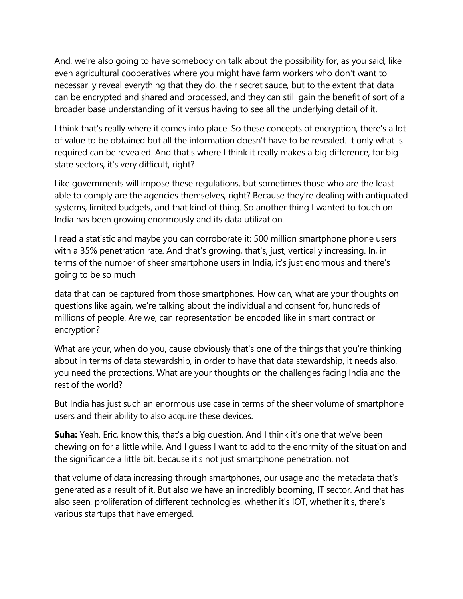And, we're also going to have somebody on talk about the possibility for, as you said, like even agricultural cooperatives where you might have farm workers who don't want to necessarily reveal everything that they do, their secret sauce, but to the extent that data can be encrypted and shared and processed, and they can still gain the benefit of sort of a broader base understanding of it versus having to see all the underlying detail of it.

I think that's really where it comes into place. So these concepts of encryption, there's a lot of value to be obtained but all the information doesn't have to be revealed. It only what is required can be revealed. And that's where I think it really makes a big difference, for big state sectors, it's very difficult, right?

Like governments will impose these regulations, but sometimes those who are the least able to comply are the agencies themselves, right? Because they're dealing with antiquated systems, limited budgets, and that kind of thing. So another thing I wanted to touch on India has been growing enormously and its data utilization.

I read a statistic and maybe you can corroborate it: 500 million smartphone phone users with a 35% penetration rate. And that's growing, that's, just, vertically increasing. In, in terms of the number of sheer smartphone users in India, it's just enormous and there's going to be so much

data that can be captured from those smartphones. How can, what are your thoughts on questions like again, we're talking about the individual and consent for, hundreds of millions of people. Are we, can representation be encoded like in smart contract or encryption?

What are your, when do you, cause obviously that's one of the things that you're thinking about in terms of data stewardship, in order to have that data stewardship, it needs also, you need the protections. What are your thoughts on the challenges facing India and the rest of the world?

But India has just such an enormous use case in terms of the sheer volume of smartphone users and their ability to also acquire these devices.

**Suha:** Yeah. Eric, know this, that's a big question. And I think it's one that we've been chewing on for a little while. And I guess I want to add to the enormity of the situation and the significance a little bit, because it's not just smartphone penetration, not

that volume of data increasing through smartphones, our usage and the metadata that's generated as a result of it. But also we have an incredibly booming, IT sector. And that has also seen, proliferation of different technologies, whether it's IOT, whether it's, there's various startups that have emerged.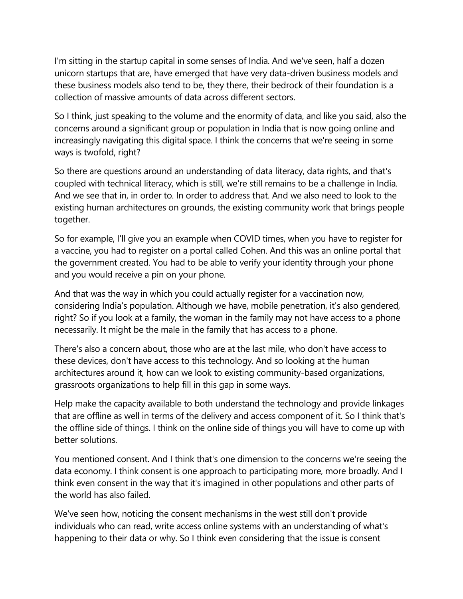I'm sitting in the startup capital in some senses of India. And we've seen, half a dozen unicorn startups that are, have emerged that have very data-driven business models and these business models also tend to be, they there, their bedrock of their foundation is a collection of massive amounts of data across different sectors.

So I think, just speaking to the volume and the enormity of data, and like you said, also the concerns around a significant group or population in India that is now going online and increasingly navigating this digital space. I think the concerns that we're seeing in some ways is twofold, right?

So there are questions around an understanding of data literacy, data rights, and that's coupled with technical literacy, which is still, we're still remains to be a challenge in India. And we see that in, in order to. In order to address that. And we also need to look to the existing human architectures on grounds, the existing community work that brings people together.

So for example, I'll give you an example when COVID times, when you have to register for a vaccine, you had to register on a portal called Cohen. And this was an online portal that the government created. You had to be able to verify your identity through your phone and you would receive a pin on your phone.

And that was the way in which you could actually register for a vaccination now, considering India's population. Although we have, mobile penetration, it's also gendered, right? So if you look at a family, the woman in the family may not have access to a phone necessarily. It might be the male in the family that has access to a phone.

There's also a concern about, those who are at the last mile, who don't have access to these devices, don't have access to this technology. And so looking at the human architectures around it, how can we look to existing community-based organizations, grassroots organizations to help fill in this gap in some ways.

Help make the capacity available to both understand the technology and provide linkages that are offline as well in terms of the delivery and access component of it. So I think that's the offline side of things. I think on the online side of things you will have to come up with better solutions.

You mentioned consent. And I think that's one dimension to the concerns we're seeing the data economy. I think consent is one approach to participating more, more broadly. And I think even consent in the way that it's imagined in other populations and other parts of the world has also failed.

We've seen how, noticing the consent mechanisms in the west still don't provide individuals who can read, write access online systems with an understanding of what's happening to their data or why. So I think even considering that the issue is consent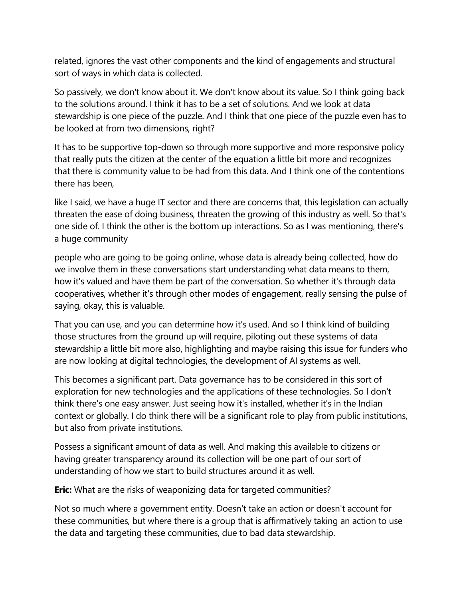related, ignores the vast other components and the kind of engagements and structural sort of ways in which data is collected.

So passively, we don't know about it. We don't know about its value. So I think going back to the solutions around. I think it has to be a set of solutions. And we look at data stewardship is one piece of the puzzle. And I think that one piece of the puzzle even has to be looked at from two dimensions, right?

It has to be supportive top-down so through more supportive and more responsive policy that really puts the citizen at the center of the equation a little bit more and recognizes that there is community value to be had from this data. And I think one of the contentions there has been,

like I said, we have a huge IT sector and there are concerns that, this legislation can actually threaten the ease of doing business, threaten the growing of this industry as well. So that's one side of. I think the other is the bottom up interactions. So as I was mentioning, there's a huge community

people who are going to be going online, whose data is already being collected, how do we involve them in these conversations start understanding what data means to them, how it's valued and have them be part of the conversation. So whether it's through data cooperatives, whether it's through other modes of engagement, really sensing the pulse of saying, okay, this is valuable.

That you can use, and you can determine how it's used. And so I think kind of building those structures from the ground up will require, piloting out these systems of data stewardship a little bit more also, highlighting and maybe raising this issue for funders who are now looking at digital technologies, the development of AI systems as well.

This becomes a significant part. Data governance has to be considered in this sort of exploration for new technologies and the applications of these technologies. So I don't think there's one easy answer. Just seeing how it's installed, whether it's in the Indian context or globally. I do think there will be a significant role to play from public institutions, but also from private institutions.

Possess a significant amount of data as well. And making this available to citizens or having greater transparency around its collection will be one part of our sort of understanding of how we start to build structures around it as well.

**Eric:** What are the risks of weaponizing data for targeted communities?

Not so much where a government entity. Doesn't take an action or doesn't account for these communities, but where there is a group that is affirmatively taking an action to use the data and targeting these communities, due to bad data stewardship.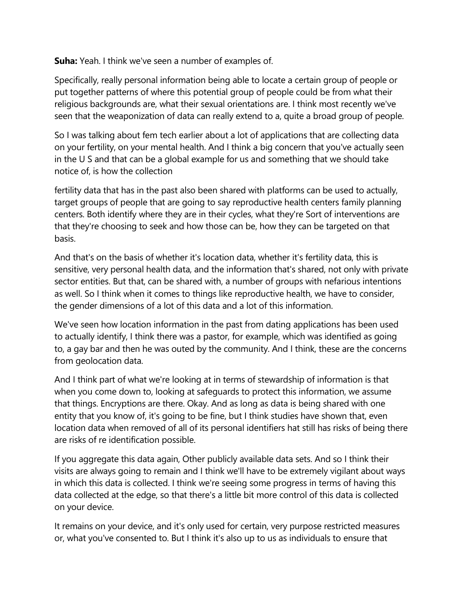**Suha:** Yeah. I think we've seen a number of examples of.

Specifically, really personal information being able to locate a certain group of people or put together patterns of where this potential group of people could be from what their religious backgrounds are, what their sexual orientations are. I think most recently we've seen that the weaponization of data can really extend to a, quite a broad group of people.

So I was talking about fem tech earlier about a lot of applications that are collecting data on your fertility, on your mental health. And I think a big concern that you've actually seen in the U S and that can be a global example for us and something that we should take notice of, is how the collection

fertility data that has in the past also been shared with platforms can be used to actually, target groups of people that are going to say reproductive health centers family planning centers. Both identify where they are in their cycles, what they're Sort of interventions are that they're choosing to seek and how those can be, how they can be targeted on that basis.

And that's on the basis of whether it's location data, whether it's fertility data, this is sensitive, very personal health data, and the information that's shared, not only with private sector entities. But that, can be shared with, a number of groups with nefarious intentions as well. So I think when it comes to things like reproductive health, we have to consider, the gender dimensions of a lot of this data and a lot of this information.

We've seen how location information in the past from dating applications has been used to actually identify, I think there was a pastor, for example, which was identified as going to, a gay bar and then he was outed by the community. And I think, these are the concerns from geolocation data.

And I think part of what we're looking at in terms of stewardship of information is that when you come down to, looking at safeguards to protect this information, we assume that things. Encryptions are there. Okay. And as long as data is being shared with one entity that you know of, it's going to be fine, but I think studies have shown that, even location data when removed of all of its personal identifiers hat still has risks of being there are risks of re identification possible.

If you aggregate this data again, Other publicly available data sets. And so I think their visits are always going to remain and I think we'll have to be extremely vigilant about ways in which this data is collected. I think we're seeing some progress in terms of having this data collected at the edge, so that there's a little bit more control of this data is collected on your device.

It remains on your device, and it's only used for certain, very purpose restricted measures or, what you've consented to. But I think it's also up to us as individuals to ensure that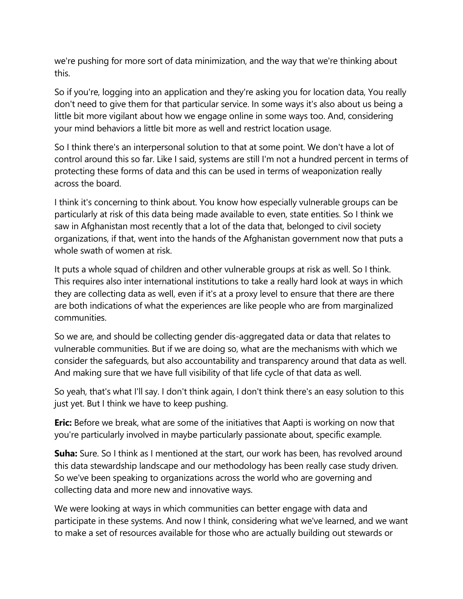we're pushing for more sort of data minimization, and the way that we're thinking about this.

So if you're, logging into an application and they're asking you for location data, You really don't need to give them for that particular service. In some ways it's also about us being a little bit more vigilant about how we engage online in some ways too. And, considering your mind behaviors a little bit more as well and restrict location usage.

So I think there's an interpersonal solution to that at some point. We don't have a lot of control around this so far. Like I said, systems are still I'm not a hundred percent in terms of protecting these forms of data and this can be used in terms of weaponization really across the board.

I think it's concerning to think about. You know how especially vulnerable groups can be particularly at risk of this data being made available to even, state entities. So I think we saw in Afghanistan most recently that a lot of the data that, belonged to civil society organizations, if that, went into the hands of the Afghanistan government now that puts a whole swath of women at risk.

It puts a whole squad of children and other vulnerable groups at risk as well. So I think. This requires also inter international institutions to take a really hard look at ways in which they are collecting data as well, even if it's at a proxy level to ensure that there are there are both indications of what the experiences are like people who are from marginalized communities.

So we are, and should be collecting gender dis-aggregated data or data that relates to vulnerable communities. But if we are doing so, what are the mechanisms with which we consider the safeguards, but also accountability and transparency around that data as well. And making sure that we have full visibility of that life cycle of that data as well.

So yeah, that's what I'll say. I don't think again, I don't think there's an easy solution to this just yet. But I think we have to keep pushing.

**Eric:** Before we break, what are some of the initiatives that Aapti is working on now that you're particularly involved in maybe particularly passionate about, specific example.

**Suha:** Sure. So I think as I mentioned at the start, our work has been, has revolved around this data stewardship landscape and our methodology has been really case study driven. So we've been speaking to organizations across the world who are governing and collecting data and more new and innovative ways.

We were looking at ways in which communities can better engage with data and participate in these systems. And now I think, considering what we've learned, and we want to make a set of resources available for those who are actually building out stewards or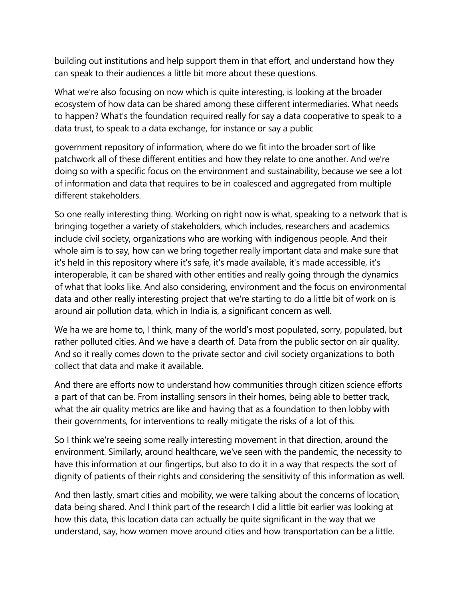building out institutions and help support them in that effort, and understand how they can speak to their audiences a little bit more about these questions.

What we're also focusing on now which is quite interesting, is looking at the broader ecosystem of how data can be shared among these different intermediaries. What needs to happen? What's the foundation required really for say a data cooperative to speak to a data trust, to speak to a data exchange, for instance or say a public

government repository of information, where do we fit into the broader sort of like patchwork all of these different entities and how they relate to one another. And we're doing so with a specific focus on the environment and sustainability, because we see a lot of information and data that requires to be in coalesced and aggregated from multiple different stakeholders.

So one really interesting thing. Working on right now is what, speaking to a network that is bringing together a variety of stakeholders, which includes, researchers and academics include civil society, organizations who are working with indigenous people. And their whole aim is to say, how can we bring together really important data and make sure that it's held in this repository where it's safe, it's made available, it's made accessible, it's interoperable, it can be shared with other entities and really going through the dynamics of what that looks like. And also considering, environment and the focus on environmental data and other really interesting project that we're starting to do a little bit of work on is around air pollution data, which in India is, a significant concern as well.

We ha we are home to, I think, many of the world's most populated, sorry, populated, but rather polluted cities. And we have a dearth of. Data from the public sector on air quality. And so it really comes down to the private sector and civil society organizations to both collect that data and make it available.

And there are efforts now to understand how communities through citizen science efforts a part of that can be. From installing sensors in their homes, being able to better track, what the air quality metrics are like and having that as a foundation to then lobby with their governments, for interventions to really mitigate the risks of a lot of this.

So I think we're seeing some really interesting movement in that direction, around the environment. Similarly, around healthcare, we've seen with the pandemic, the necessity to have this information at our fingertips, but also to do it in a way that respects the sort of dignity of patients of their rights and considering the sensitivity of this information as well.

And then lastly, smart cities and mobility, we were talking about the concerns of location, data being shared. And I think part of the research I did a little bit earlier was looking at how this data, this location data can actually be quite significant in the way that we understand, say, how women move around cities and how transportation can be a little.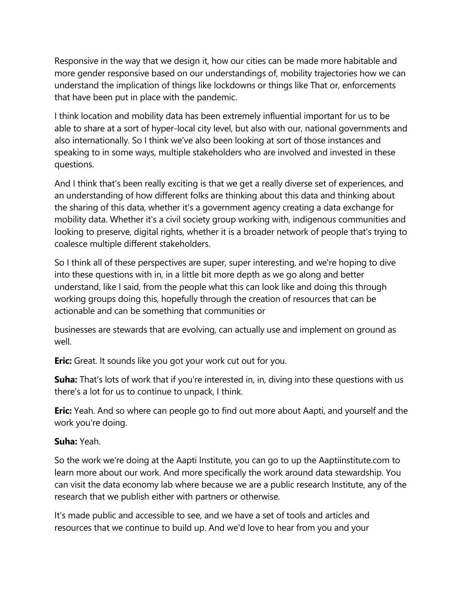Responsive in the way that we design it, how our cities can be made more habitable and more gender responsive based on our understandings of, mobility trajectories how we can understand the implication of things like lockdowns or things like That or, enforcements that have been put in place with the pandemic.

I think location and mobility data has been extremely influential important for us to be able to share at a sort of hyper-local city level, but also with our, national governments and also internationally. So I think we've also been looking at sort of those instances and speaking to in some ways, multiple stakeholders who are involved and invested in these questions.

And I think that's been really exciting is that we get a really diverse set of experiences, and an understanding of how different folks are thinking about this data and thinking about the sharing of this data, whether it's a government agency creating a data exchange for mobility data. Whether it's a civil society group working with, indigenous communities and looking to preserve, digital rights, whether it is a broader network of people that's trying to coalesce multiple different stakeholders.

So I think all of these perspectives are super, super interesting, and we're hoping to dive into these questions with in, in a little bit more depth as we go along and better understand, like I said, from the people what this can look like and doing this through working groups doing this, hopefully through the creation of resources that can be actionable and can be something that communities or

businesses are stewards that are evolving, can actually use and implement on ground as well.

**Eric:** Great. It sounds like you got your work cut out for you.

**Suha:** That's lots of work that if you're interested in, in, diving into these questions with us there's a lot for us to continue to unpack, I think.

**Eric:** Yeah. And so where can people go to find out more about Aapti, and yourself and the work you're doing.

## **Suha:** Yeah.

So the work we're doing at the Aapti Institute, you can go to up the Aaptiinstitute.com to learn more about our work. And more specifically the work around data stewardship. You can visit the data economy lab where because we are a public research Institute, any of the research that we publish either with partners or otherwise.

It's made public and accessible to see, and we have a set of tools and articles and resources that we continue to build up. And we'd love to hear from you and your